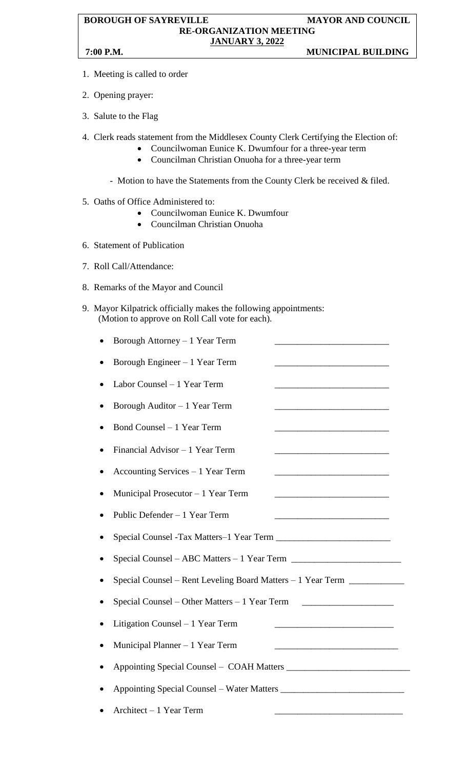## **BOROUGH OF SAYREVILLE MAYOR AND COUNCIL RE-ORGANIZATION MEETING JANUARY 3, 2022 7:00 P.M. MUNICIPAL BUILDING**

- 1. Meeting is called to order
- 2. Opening prayer:
- 3. Salute to the Flag
- 4. Clerk reads statement from the Middlesex County Clerk Certifying the Election of:
	- Councilwoman Eunice K. Dwumfour for a three-year term
	- Councilman Christian Onuoha for a three-year term
	- Motion to have the Statements from the County Clerk be received & filed.
- 5. Oaths of Office Administered to:
	- Councilwoman Eunice K. Dwumfour
	- Councilman Christian Onuoha
- 6. Statement of Publication
- 7. Roll Call/Attendance:
- 8. Remarks of the Mayor and Council
- 9. Mayor Kilpatrick officially makes the following appointments: (Motion to approve on Roll Call vote for each).
	- Borough Attorney 1 Year Term
	- Borough Engineer  $-1$  Year Term
	- Labor Counsel 1 Year Term
	- Borough Auditor 1 Year Term
	- Bond Counsel  $-1$  Year Term
	- Financial Advisor  $-1$  Year Term
	- Accounting Services  $-1$  Year Term
	- Municipal Prosecutor  $-1$  Year Term
	- Public Defender 1 Year Term
	- Special Counsel -Tax Matters–1 Year Term \_\_\_\_\_\_\_\_\_\_\_\_\_\_\_\_\_\_\_\_\_\_\_\_\_
	- Special Counsel ABC Matters 1 Year Term \_\_\_\_\_\_\_\_\_\_\_\_\_\_\_\_\_\_\_\_\_\_\_\_
	- Special Counsel Rent Leveling Board Matters 1 Year Term \_\_\_\_\_\_\_\_\_\_\_\_\_\_\_\_\_\_
	- Special Counsel Other Matters 1 Year Term \_\_\_\_\_\_\_\_\_\_\_\_\_\_\_\_\_\_\_\_
	- Litigation Counsel 1 Year Term
	- Municipal Planner  $-1$  Year Term
	- Appointing Special Counsel COAH Matters \_\_\_\_\_\_\_\_\_\_\_\_\_\_\_\_\_\_\_\_\_\_\_\_\_\_\_
	- Appointing Special Counsel Water Matters \_\_\_\_\_\_\_\_\_\_\_\_\_\_\_\_\_\_\_\_\_\_\_\_\_\_\_
	- Architect 1 Year Term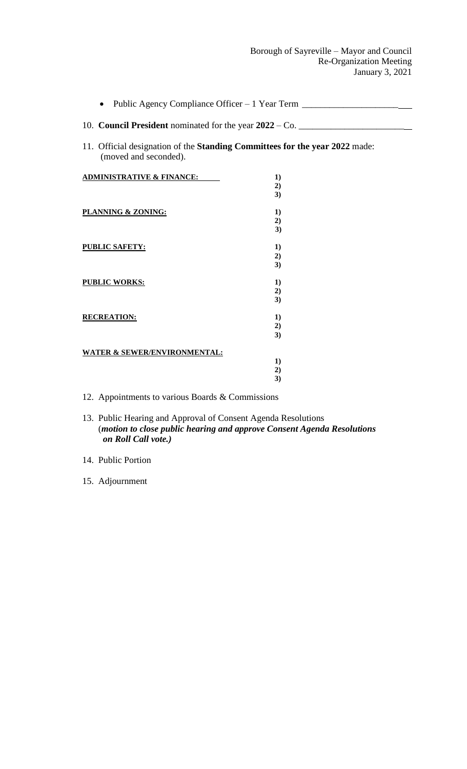| Public Agency Compliance Officer – 1 Year Term ___________________                                   |                      |
|------------------------------------------------------------------------------------------------------|----------------------|
| 10. <b>Council President</b> nominated for the year $2022 - Co.$                                     |                      |
| 11. Official designation of the Standing Committees for the year 2022 made:<br>(moved and seconded). |                      |
| <b>ADMINISTRATIVE &amp; FINANCE:</b>                                                                 | $\bf{1}$<br>2)<br>3) |
| <b>PLANNING &amp; ZONING:</b>                                                                        | $\bf{1}$<br>2)<br>3) |
| <b>PUBLIC SAFETY:</b>                                                                                | 1)<br>2)<br>3)       |
| <b>PUBLIC WORKS:</b>                                                                                 | 1)<br>2)<br>3)       |
| <b>RECREATION:</b>                                                                                   | 1)<br>2)<br>3)       |
| <b>WATER &amp; SEWER/ENVIRONMENTAL:</b>                                                              | 1)<br>2)<br>3)       |

12. Appointments to various Boards & Commissions

13. Public Hearing and Approval of Consent Agenda Resolutions (*motion to close public hearing and approve Consent Agenda Resolutions on Roll Call vote.)*

14. Public Portion

15. Adjournment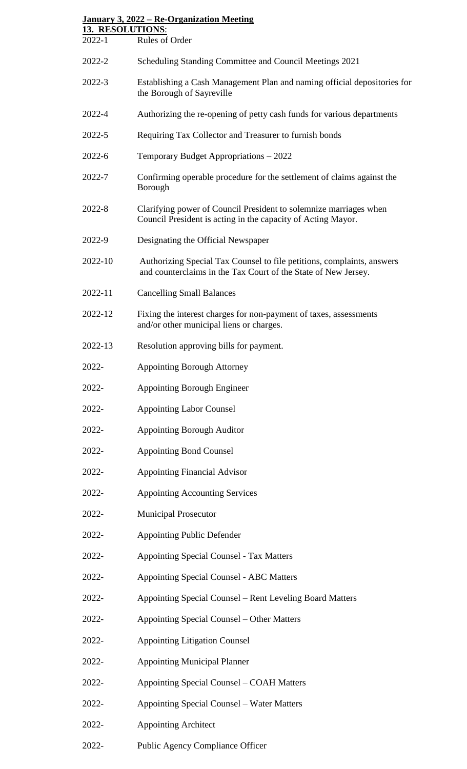| January 3, 2022 – Re-Organization Meeting<br>13. RESOLUTIONS: |                                                                                                                                          |
|---------------------------------------------------------------|------------------------------------------------------------------------------------------------------------------------------------------|
| 2022-1                                                        | Rules of Order                                                                                                                           |
| 2022-2                                                        | Scheduling Standing Committee and Council Meetings 2021                                                                                  |
| 2022-3                                                        | Establishing a Cash Management Plan and naming official depositories for<br>the Borough of Sayreville                                    |
| 2022-4                                                        | Authorizing the re-opening of petty cash funds for various departments                                                                   |
| 2022-5                                                        | Requiring Tax Collector and Treasurer to furnish bonds                                                                                   |
| $2022 - 6$                                                    | Temporary Budget Appropriations – 2022                                                                                                   |
| 2022-7                                                        | Confirming operable procedure for the settlement of claims against the<br>Borough                                                        |
| 2022-8                                                        | Clarifying power of Council President to solemnize marriages when<br>Council President is acting in the capacity of Acting Mayor.        |
| 2022-9                                                        | Designating the Official Newspaper                                                                                                       |
| 2022-10                                                       | Authorizing Special Tax Counsel to file petitions, complaints, answers<br>and counterclaims in the Tax Court of the State of New Jersey. |
| 2022-11                                                       | <b>Cancelling Small Balances</b>                                                                                                         |
| 2022-12                                                       | Fixing the interest charges for non-payment of taxes, assessments<br>and/or other municipal liens or charges.                            |
| 2022-13                                                       | Resolution approving bills for payment.                                                                                                  |
| 2022-                                                         | <b>Appointing Borough Attorney</b>                                                                                                       |
| 2022-                                                         | <b>Appointing Borough Engineer</b>                                                                                                       |
| 2022-                                                         | <b>Appointing Labor Counsel</b>                                                                                                          |
| 2022-                                                         | <b>Appointing Borough Auditor</b>                                                                                                        |
| 2022-                                                         | <b>Appointing Bond Counsel</b>                                                                                                           |
| 2022-                                                         | <b>Appointing Financial Advisor</b>                                                                                                      |
| 2022-                                                         | <b>Appointing Accounting Services</b>                                                                                                    |
| 2022-                                                         | <b>Municipal Prosecutor</b>                                                                                                              |
| 2022-                                                         | <b>Appointing Public Defender</b>                                                                                                        |
| 2022-                                                         | <b>Appointing Special Counsel - Tax Matters</b>                                                                                          |
| 2022-                                                         | <b>Appointing Special Counsel - ABC Matters</b>                                                                                          |
| 2022-                                                         | Appointing Special Counsel – Rent Leveling Board Matters                                                                                 |
| 2022-                                                         | Appointing Special Counsel – Other Matters                                                                                               |
| 2022-                                                         | <b>Appointing Litigation Counsel</b>                                                                                                     |
| 2022-                                                         | <b>Appointing Municipal Planner</b>                                                                                                      |
| 2022-                                                         | Appointing Special Counsel – COAH Matters                                                                                                |
| 2022-                                                         | <b>Appointing Special Counsel - Water Matters</b>                                                                                        |
| 2022-                                                         | <b>Appointing Architect</b>                                                                                                              |
| 2022-                                                         | Public Agency Compliance Officer                                                                                                         |